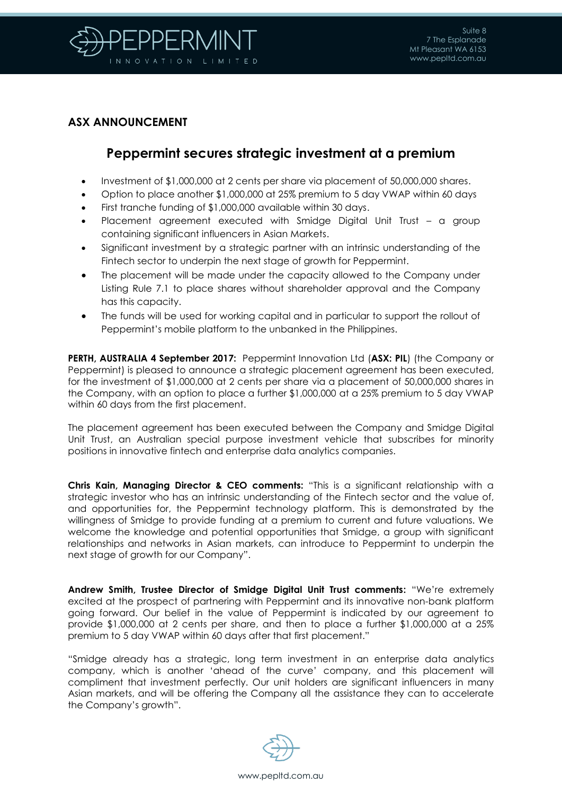

## **ASX ANNOUNCEMENT**

## **Peppermint secures strategic investment at a premium**

- Investment of \$1,000,000 at 2 cents per share via placement of 50,000,000 shares.
- Option to place another \$1,000,000 at 25% premium to 5 day VWAP within 60 days
- First tranche funding of \$1,000,000 available within 30 days.
- Placement agreement executed with Smidge Digital Unit Trust a group containing significant influencers in Asian Markets.
- Significant investment by a strategic partner with an intrinsic understanding of the Fintech sector to underpin the next stage of growth for Peppermint.
- The placement will be made under the capacity allowed to the Company under Listing Rule 7.1 to place shares without shareholder approval and the Company has this capacity.
- The funds will be used for working capital and in particular to support the rollout of Peppermint's mobile platform to the unbanked in the Philippines.

**PERTH, AUSTRALIA 4 September 2017:** Peppermint Innovation Ltd (**ASX: PIL**) (the Company or Peppermint) is pleased to announce a strategic placement agreement has been executed, for the investment of \$1,000,000 at 2 cents per share via a placement of 50,000,000 shares in the Company, with an option to place a further \$1,000,000 at a 25% premium to 5 day VWAP within 60 days from the first placement.

The placement agreement has been executed between the Company and Smidge Digital Unit Trust, an Australian special purpose investment vehicle that subscribes for minority positions in innovative fintech and enterprise data analytics companies.

**Chris Kain, Managing Director & CEO comments:** "This is a significant relationship with a strategic investor who has an intrinsic understanding of the Fintech sector and the value of, and opportunities for, the Peppermint technology platform. This is demonstrated by the willingness of Smidge to provide funding at a premium to current and future valuations. We welcome the knowledge and potential opportunities that Smidge, a group with significant relationships and networks in Asian markets, can introduce to Peppermint to underpin the next stage of growth for our Company".

**Andrew Smith, Trustee Director of Smidge Digital Unit Trust comments:** "We're extremely excited at the prospect of partnering with Peppermint and its innovative non-bank platform going forward. Our belief in the value of Peppermint is indicated by our agreement to provide \$1,000,000 at 2 cents per share, and then to place a further \$1,000,000 at a 25% premium to 5 day VWAP within 60 days after that first placement."

"Smidge already has a strategic, long term investment in an enterprise data analytics company, which is another 'ahead of the curve' company, and this placement will compliment that investment perfectly. Our unit holders are significant influencers in many Asian markets, and will be offering the Company all the assistance they can to accelerate the Company's growth".